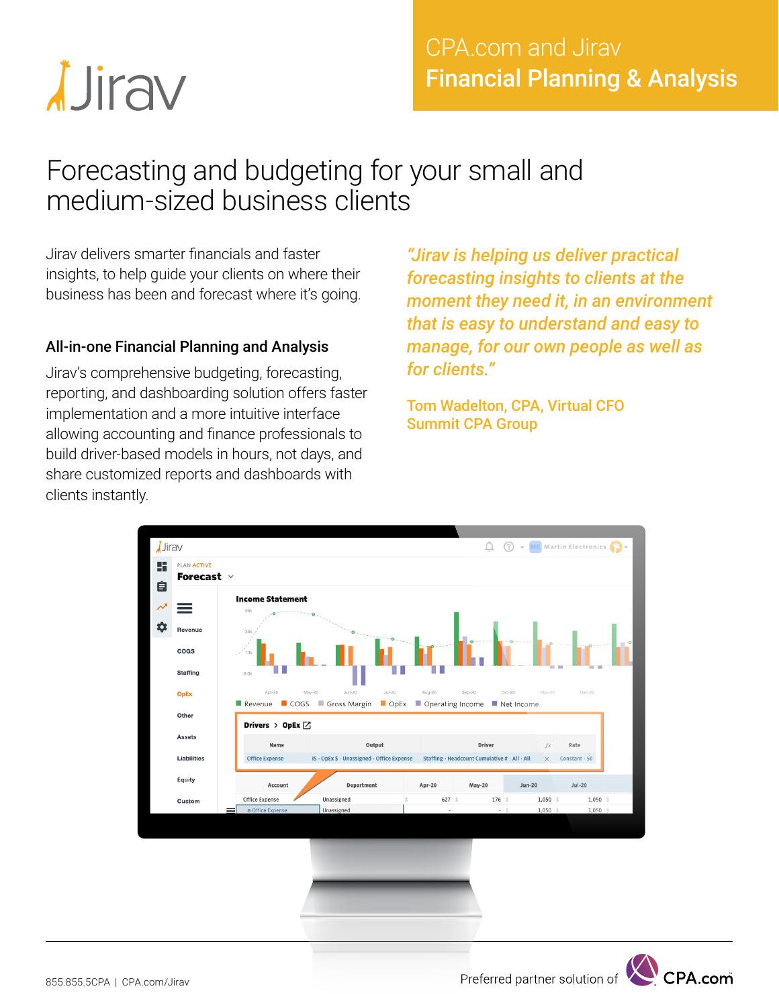# *<u>Jirav</u>*

### CPA.com and Jirav Financial Planning & Analysis

## Forecasting and budgeting for your small and medium-sized business clients

Jirav delivers smarter financials and faster insights, to help guide your clients on where their business has been and forecast where it's going.

#### All-in-one Financial Planning and Analysis

Jirav's comprehensive budgeting, forecasting, reporting, and dashboarding solution offers faster implementation and a more intuitive interface allowing accounting and finance professionals to build driver-based models in hours, not days, and share customized reports and dashboards with clients instantly.

*"Jirav is helping us deliver practical forecasting insights to clients at the moment they need it, in an environment that is easy to understand and easy to manage, for our own people as well as for clients."* 

Tom Wadelton, CPA, Virtual CFO Summit CPA Group